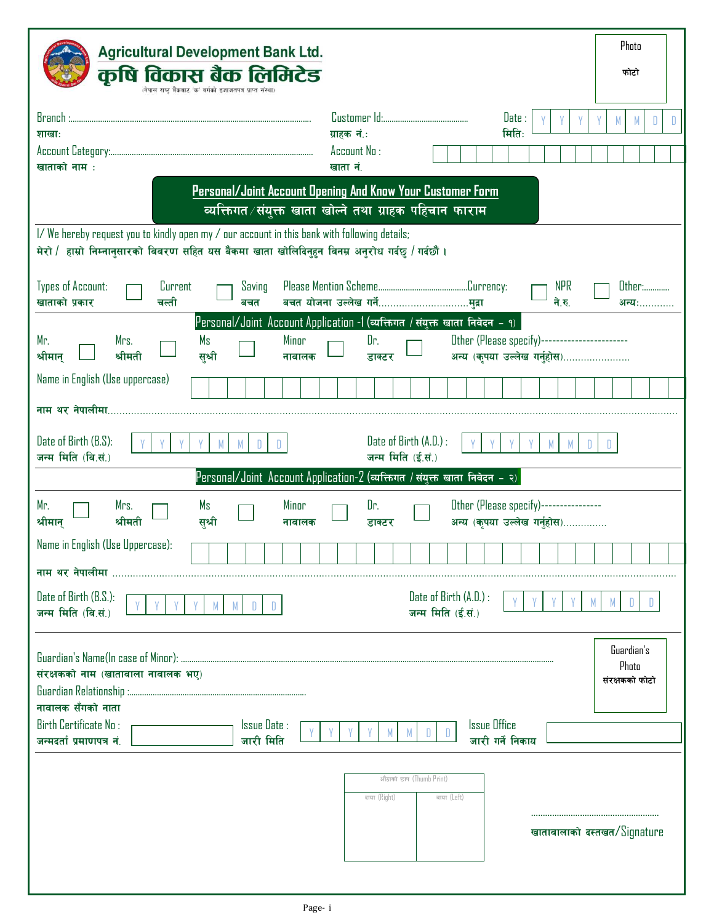| Photo<br><b>Agricultural Development Bank Ltd.</b>                                                                                                                                                                                        |  |  |  |  |  |
|-------------------------------------------------------------------------------------------------------------------------------------------------------------------------------------------------------------------------------------------|--|--|--|--|--|
| कृषि विकास बैक लिमिटेड<br>फोटो<br>(नेपाल राष्ट्र बैंकबाट 'क' वर्गको इजाजतपत्र प्राप्त संस्था                                                                                                                                              |  |  |  |  |  |
| Branch:<br>Date:<br>M<br>D                                                                                                                                                                                                                |  |  |  |  |  |
| मिति:<br>ग्राहक नं.:<br>शाखाः<br>Account No:                                                                                                                                                                                              |  |  |  |  |  |
| खाताको नाम :<br>खाता नं.                                                                                                                                                                                                                  |  |  |  |  |  |
| Personal/Joint Account Opening And Know Your Customer Form<br>व्यक्तिगत ∕ संयुक्त खाता खोल्ने तथा ग्राहक पहिचान फाराम                                                                                                                     |  |  |  |  |  |
| I/We hereby request you to kindly open my / our account in this bank with following details;                                                                                                                                              |  |  |  |  |  |
| मेरो / हाम्रो निम्नानुसारको विवरण सहित यस बैंकमा खाता खोलिदिनुहुन विनम्र अनुरोध गर्दछ / गर्दछौं।                                                                                                                                          |  |  |  |  |  |
| <b>Types of Account:</b><br><b>NPR</b><br><b>Other:</b><br>Current<br>Saving<br>खाताको प्रकार<br>ने.रु.<br>चली<br>बचत<br>अन्य:                                                                                                            |  |  |  |  |  |
| Personal/Joint Account Application -1 (व्यक्तिगत / संयुक्त खाता निवेदन - १)                                                                                                                                                               |  |  |  |  |  |
| Other (Please specify)-----------------------<br>Mr.<br>Mrs.<br>Ms<br>Minor<br>Dr.<br>अन्य (कृपया उल्लेख गर्नुहोस)<br>श्रीमती<br>श्रीमान्<br>सृश्री<br>नावालक<br>डाक्टर                                                                   |  |  |  |  |  |
| Name in English (Use uppercase)                                                                                                                                                                                                           |  |  |  |  |  |
| नाम थर नेपालीमा.                                                                                                                                                                                                                          |  |  |  |  |  |
| Date of Birth (B.S):<br>Date of Birth (A.D.) :<br>जन्म मिति (वि.सं.)<br>जन्म मिति (ई.सं.)                                                                                                                                                 |  |  |  |  |  |
| Personal/Joint Account Application-2 (व्यक्तिगत / संयुक्त खाता निवेदन - २)                                                                                                                                                                |  |  |  |  |  |
| Minor<br>Other (Please specify)----------------<br>Mr.<br>Dr.<br>Mrs.<br>Ms<br>अन्य (कृपया उल्लेख गर्नुहोस)<br>श्रीमान्<br>श्रीमती<br>सुश्री<br>नावालक<br>डाक्टर                                                                          |  |  |  |  |  |
| Name in English (Use Uppercase):                                                                                                                                                                                                          |  |  |  |  |  |
| नाम थर नेपालीमा                                                                                                                                                                                                                           |  |  |  |  |  |
| Date of Birth (B.S.):<br>Date of Birth (A.D.) :<br>M<br>M<br>D<br>M<br>D.<br>जन्म मिति (वि.सं.)<br>जन्म मिति (ई.सं.)                                                                                                                      |  |  |  |  |  |
| Guardian's<br>Photo<br>संरक्षकको नाम (खातावाला नावालक भए)<br>संरक्षकको फोटो<br>नावालक सँगको नाता<br><b>Birth Certificate No:</b><br>Issue Date:<br><b>Issue Office</b><br>D.<br>जारी गर्ने निकाय<br>जन्मदर्ता प्रमाणपत्र नं.<br>जारी मिति |  |  |  |  |  |
| औठाको छाप (Thumb Print)<br>दाया (Right)<br>वाया (Left)<br>खातावालाको दस्तखत/Signature                                                                                                                                                     |  |  |  |  |  |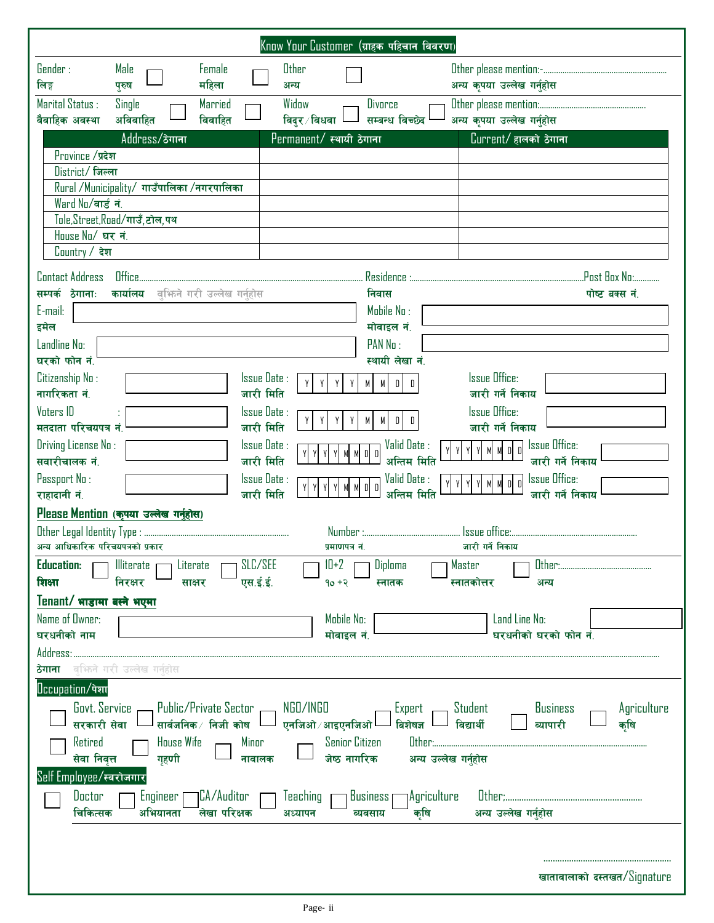|                                                                                                                                                                                                                                                               |                                                                                   |                                                                                                   |                                                                                                                             | Know Your Customer (ग्राहक पहिचान विवरण)                                                                                                                                                                                                                |                                                                                                                                                                                                       |                                                                       |
|---------------------------------------------------------------------------------------------------------------------------------------------------------------------------------------------------------------------------------------------------------------|-----------------------------------------------------------------------------------|---------------------------------------------------------------------------------------------------|-----------------------------------------------------------------------------------------------------------------------------|---------------------------------------------------------------------------------------------------------------------------------------------------------------------------------------------------------------------------------------------------------|-------------------------------------------------------------------------------------------------------------------------------------------------------------------------------------------------------|-----------------------------------------------------------------------|
| Gender:<br>लिङ्ग                                                                                                                                                                                                                                              | Male<br>पुरुष                                                                     | Female<br>महिला                                                                                   | Other<br>अन्य                                                                                                               |                                                                                                                                                                                                                                                         | अन्य कृपया उल्लेख गर्नुहोस                                                                                                                                                                            |                                                                       |
| Marital Status :<br>वैवाहिक अवस्था                                                                                                                                                                                                                            | Single<br>अविवाहित                                                                | Married<br>विवाहित                                                                                | Widow<br>विदुर ∕ विधवा                                                                                                      | <b>Divorce</b><br>सम्बन्ध विच्छेद                                                                                                                                                                                                                       | अन्य कृपया उल्लेख गर्नुहोस                                                                                                                                                                            |                                                                       |
|                                                                                                                                                                                                                                                               | Address/ठेगाना                                                                    |                                                                                                   | Permanent/ स्थायी ठेगाना                                                                                                    |                                                                                                                                                                                                                                                         | Current/ हालको ठेगाना                                                                                                                                                                                 |                                                                       |
| Province /प्रदेश<br>District/जिल्ला<br>Ward No/वार्ड नं.<br>House No/ घर नं.<br>Country / देश                                                                                                                                                                 | Rural /Municipality/ गाउँपालिका /नगरपालिका<br>Tole,Street,Road/गाउँ,टोल,पथ        |                                                                                                   |                                                                                                                             |                                                                                                                                                                                                                                                         |                                                                                                                                                                                                       |                                                                       |
| <b>Contact Address</b>                                                                                                                                                                                                                                        | <b>Office</b>                                                                     |                                                                                                   |                                                                                                                             | Residence :                                                                                                                                                                                                                                             |                                                                                                                                                                                                       | .Post Box No:                                                         |
| सम्पर्क ठेगानाः<br>E-mail:<br>इमेल<br>Landline No:<br>घरको फोन नं.<br>Citizenship No:<br>नागरिकता नं.<br><b>Voters ID</b><br>मतदाता परिचयपत्र नं.<br>Driving License No:<br>सवारीचालक नं.<br>Passport No:<br>राहादानी नं.<br>अन्य आधिकारिक परिचयपत्रको प्रकार | कार्यालय<br>Please Mention (कृपया उल्लेख गर्नुहोस)                                | वश्मिने गरी उल्लेख गर्नुहोस                                                                       | Issue Date:<br>Y<br>Y<br>जारी मिति<br>Issue Date:<br>Y<br>जारी मिति<br>Issue Date:<br>जारी मिति<br>Issue Date:<br>जारी मिति | निवास<br>Mobile No:<br>मोवाइल नं.<br>PAN No:<br>स्थायी लेखा नं.<br>Y<br>M<br>M<br>$\mathbb{D}$<br>Y<br>Y<br>М<br>M<br>$D$   $D$<br>Y<br>Valid Date:<br>$D$ $D$<br>M<br>M<br>अन्तिम मिति<br>Valid Date:<br>$D$ $D$<br>M<br>अन्तिम मिति<br>प्रमाणपत्र नं. | <b>Issue Office:</b><br>जारी गर्ने निकाय<br><b>Issue Office:</b><br>जारी गर्ने निकाय<br><b>Issue Office:</b><br>МM<br>$D$ $D$<br>Y<br>Y<br><b>Issue Office:</b><br>M M<br>$D$ $D$<br>जारी गर्ने निकाय | पोष्ट बक्स नं.<br>जारी गर्ने निकाय<br>जारी गर्ने निकाय                |
| <b>Education:</b><br>शिक्षा                                                                                                                                                                                                                                   | <b>Illiterate</b><br>निरक्षर                                                      | SLC/SEE<br>Literate<br>एस.ई.ई.<br>साक्षर                                                          |                                                                                                                             | $10 + 2$<br>Diploma<br>$90 + 3$<br>स्नातक                                                                                                                                                                                                               | Master<br>Other:.<br>स्नातकोत्तर<br>अन्य                                                                                                                                                              |                                                                       |
| Tenant/ भाडामा बस्ने भएमा<br>Name of Owner:<br>घरधनीको नाम<br>Address:                                                                                                                                                                                        |                                                                                   |                                                                                                   |                                                                                                                             | Mobile No:<br>मोवाइल नं.                                                                                                                                                                                                                                | Land Line No:<br>घरधनीको घरको फोन नं.                                                                                                                                                                 |                                                                       |
| ठेगाना<br>Occupation/पेशा<br><b>Govt.</b> Service<br>सरकारी सेवा<br>Retired<br>सेवा निवृत्त<br>Self Employee/स्वरोजगार<br>Doctor<br>चिकित्सक                                                                                                                  | वश्मिने गरी उल्लेख गर्नुहोस<br><b>House Wife</b><br>गृहणी<br>Engineer<br>अभियानता | Public/Private Sector -<br>सार्वजनिक ∕ निजी कोष<br>Minor<br>नावालक<br>7CA/Auditor<br>लेखा परिक्षक | NGO/INGO<br><sup>」</sup> ाएनजिओ ∕ आइएनजिओ <sup> </sup><br>Teaching<br>अध्यापन                                               | Expert<br>बिशेषज्ञ<br><b>Senior Citizen</b><br>जेष्ठ नागरिक<br>Business <sub>I</sub><br>व्यवसाय                                                                                                                                                         | <b>Student</b><br>विद्यार्थी<br>व्यापारी<br>Other:<br>अन्य उल्लेख गर्नुहोस<br>1Agriculture<br>कृषि<br>अन्य उल्लेख गर्नुहोस                                                                            | <b>Business</b><br>Agriculture<br>कृषि<br>खातावालाको दस्तखत/Signature |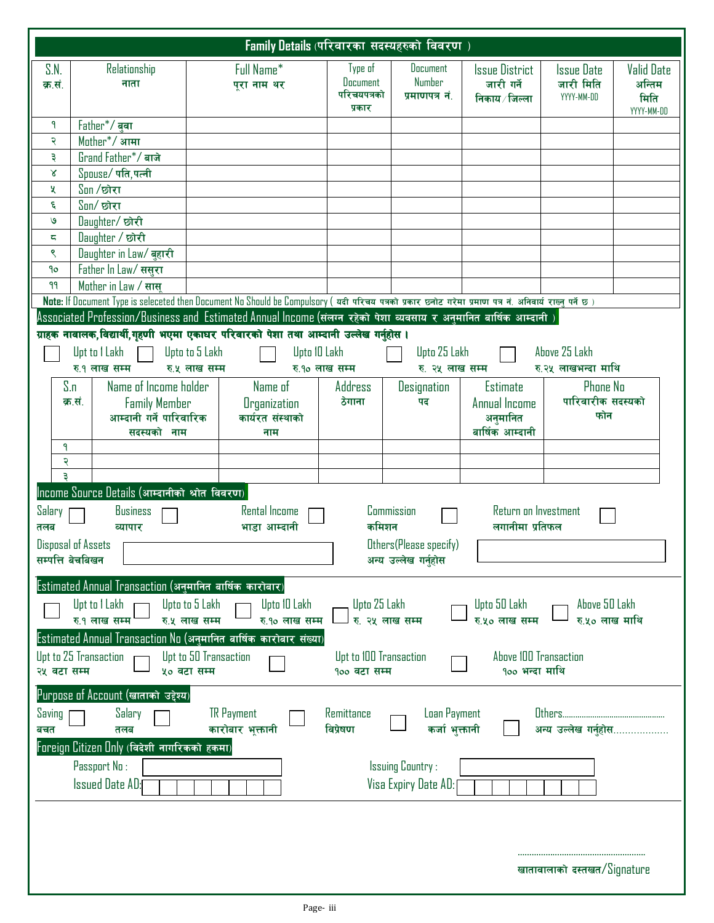| <b>Family Details (परिवारका सदस्यहरुको विवरण</b> )                                                      |                                                                     |                                                                                                                                                          |                                                     |                                             |                                                       |                                       |                                                   |
|---------------------------------------------------------------------------------------------------------|---------------------------------------------------------------------|----------------------------------------------------------------------------------------------------------------------------------------------------------|-----------------------------------------------------|---------------------------------------------|-------------------------------------------------------|---------------------------------------|---------------------------------------------------|
| S.N.<br>क्र.सं.                                                                                         | Relationship<br>नाता                                                | Full Name*<br>पुरा नाम थर                                                                                                                                | Type of<br><b>Document</b><br>परिचयपत्रको<br>प्रकार | <b>Document</b><br>Number<br>प्रमाणपत्र नं. | <b>Issue District</b><br>जारी गर्ने<br>निकाय ∕ जिल्ला | Issue Date<br>जारी मिति<br>YYYY-MM-DD | <b>Valid Date</b><br>अन्तिम<br>मिति<br>YYYY-MM-DD |
| ٩                                                                                                       | Father*/ बवा                                                        |                                                                                                                                                          |                                                     |                                             |                                                       |                                       |                                                   |
| २                                                                                                       | Mother <sup>*</sup> / आमा                                           |                                                                                                                                                          |                                                     |                                             |                                                       |                                       |                                                   |
| Ę                                                                                                       | Grand Father*/ बाजे                                                 |                                                                                                                                                          |                                                     |                                             |                                                       |                                       |                                                   |
| R                                                                                                       | $Spouse/$ पति, पत्नी                                                |                                                                                                                                                          |                                                     |                                             |                                                       |                                       |                                                   |
| X                                                                                                       | $S$ on /छोरा                                                        |                                                                                                                                                          |                                                     |                                             |                                                       |                                       |                                                   |
| ६                                                                                                       | $S$ on/छोरा                                                         |                                                                                                                                                          |                                                     |                                             |                                                       |                                       |                                                   |
| $\mathbf{v}$                                                                                            | Daughter/छोरी                                                       |                                                                                                                                                          |                                                     |                                             |                                                       |                                       |                                                   |
| ς                                                                                                       | Daughter / छोरी                                                     |                                                                                                                                                          |                                                     |                                             |                                                       |                                       |                                                   |
| ९                                                                                                       | Daughter in Law/ बुहारी                                             |                                                                                                                                                          |                                                     |                                             |                                                       |                                       |                                                   |
| 9o                                                                                                      | Father In Law/ ससूरा                                                |                                                                                                                                                          |                                                     |                                             |                                                       |                                       |                                                   |
| 99                                                                                                      | Mother in Law / सास्                                                |                                                                                                                                                          |                                                     |                                             |                                                       |                                       |                                                   |
|                                                                                                         |                                                                     | Note: If Document Type is seleceted then Document No Should be Compulsory (यदी परिचय पत्रको प्रकार छ्नोट गरेमा प्रमाण पत्र नं. अनिवार्य राख्नु पर्ने छ ) |                                                     |                                             |                                                       |                                       |                                                   |
|                                                                                                         |                                                                     | Associated Profession/Business and Estimated Annual Income (संलग्न रहेको पेशा व्यवसाय र अनुमानित बार्षिक आम्दानी                                         |                                                     |                                             |                                                       |                                       |                                                   |
|                                                                                                         |                                                                     | ग्राहक नावालक,विद्यार्थी,गृहणी भएमा एकाघर परिवारको पेशा तथा आम्दानी उल्लेख गर्नुहोस ।                                                                    |                                                     |                                             |                                                       |                                       |                                                   |
|                                                                                                         | Upt to I Lakh                                                       | Upto to 5 Lakh<br>Upto 10 Lakh                                                                                                                           |                                                     | Upto 25 Lakh                                |                                                       | Above 25 Lakh                         |                                                   |
|                                                                                                         | रु.१ लाख सम्म                                                       | रु.५ लाख सम्म<br>रु.१० लाख सम्म                                                                                                                          |                                                     | रु. २५ लाख सम्म                             |                                                       | रु.२५ लाखभन्दा माथि                   |                                                   |
| S.n                                                                                                     | Name of Income holder                                               | Name of                                                                                                                                                  | Address                                             | Designation                                 | <b>Estimate</b>                                       | <b>Phone No</b>                       |                                                   |
|                                                                                                         | क.सं.<br><b>Family Member</b>                                       | <b>Organization</b>                                                                                                                                      | ठेगाना                                              | पद                                          | Annual Income                                         | पारिवारीक सदस्यको                     |                                                   |
|                                                                                                         | आम्दानी गर्ने पारिवारिक                                             | कार्यरत संस्थाको                                                                                                                                         |                                                     |                                             | अनुमानित                                              | फोन                                   |                                                   |
|                                                                                                         | सदस्यको नाम                                                         | नाम                                                                                                                                                      |                                                     |                                             | बार्षिक आम्दानी                                       |                                       |                                                   |
| ٩                                                                                                       |                                                                     |                                                                                                                                                          |                                                     |                                             |                                                       |                                       |                                                   |
| २                                                                                                       |                                                                     |                                                                                                                                                          |                                                     |                                             |                                                       |                                       |                                                   |
|                                                                                                         |                                                                     |                                                                                                                                                          |                                                     |                                             |                                                       |                                       |                                                   |
|                                                                                                         | Income Source Details (आम्दानीको श्रोत विवरण)                       |                                                                                                                                                          |                                                     |                                             |                                                       |                                       |                                                   |
| Salary<br><b>Rental Income</b><br>Commission<br>Return on Investment<br><b>Business</b>                 |                                                                     |                                                                                                                                                          |                                                     |                                             |                                                       |                                       |                                                   |
| लगानीमा प्रतिफल<br>कमिशन<br>भाडा आम्दानी<br>तलब<br>व्यापार                                              |                                                                     |                                                                                                                                                          |                                                     |                                             |                                                       |                                       |                                                   |
|                                                                                                         | Disposal of Assets                                                  |                                                                                                                                                          |                                                     | Others (Please specify)                     |                                                       |                                       |                                                   |
| सम्पत्ति बेचबिखन<br>अन्य उल्लेख गर्नुहोस                                                                |                                                                     |                                                                                                                                                          |                                                     |                                             |                                                       |                                       |                                                   |
| Estimated Annual Transaction (अनुमानित बार्षिक कारोबार)                                                 |                                                                     |                                                                                                                                                          |                                                     |                                             |                                                       |                                       |                                                   |
| Upt to I Lakh<br>Upto 25 Lakh<br>Upto to 5 Lakh<br>Upto 10 Lakh<br>Upto 50 Lakh<br>Above 50 Lakh        |                                                                     |                                                                                                                                                          |                                                     |                                             |                                                       |                                       |                                                   |
| रु.५० लाख सम्म<br>रु.१ लाख सम्म<br>रु.५ लाख सम्म<br>रु.१० लाख सम्म<br>रु. २५ लाख सम्म<br>रु.५० लाख माथि |                                                                     |                                                                                                                                                          |                                                     |                                             |                                                       |                                       |                                                   |
|                                                                                                         |                                                                     | Estimated Annual Transaction No (अनुमानित बार्षिक कारोबार संख्या)                                                                                        |                                                     |                                             |                                                       |                                       |                                                   |
|                                                                                                         |                                                                     |                                                                                                                                                          |                                                     |                                             |                                                       |                                       |                                                   |
| २५ वटा सम्म                                                                                             | Upt to 25 Transaction                                               | Upt to 50 Transaction<br>५० वटा सम्म                                                                                                                     | Upt to 100 Transaction<br>१०० वटा सम्म              |                                             | Above 100 Transaction<br>१०० भन्दा माथि               |                                       |                                                   |
|                                                                                                         |                                                                     |                                                                                                                                                          |                                                     |                                             |                                                       |                                       |                                                   |
|                                                                                                         | Purpose of Account (खाताको उद्देश्य)                                |                                                                                                                                                          |                                                     |                                             |                                                       |                                       |                                                   |
| Saving                                                                                                  | Salary<br><b>TR</b> Payment<br>Others<br>Remittance<br>Loan Payment |                                                                                                                                                          |                                                     |                                             |                                                       |                                       |                                                   |
| विप्रेषण<br>कर्जा भुक्तानी<br>कारोबार भूक्तानी<br>अन्य उल्लेख गर्नुहोस<br>बचत<br>तलब                    |                                                                     |                                                                                                                                                          |                                                     |                                             |                                                       |                                       |                                                   |
| Foreign Citizen Unly (विदेशी नागरिकको हकमा)                                                             |                                                                     |                                                                                                                                                          |                                                     |                                             |                                                       |                                       |                                                   |
| Passport No:<br><b>Issuing Country:</b>                                                                 |                                                                     |                                                                                                                                                          |                                                     |                                             |                                                       |                                       |                                                   |
|                                                                                                         | <b>Issued Date AD:</b>                                              |                                                                                                                                                          |                                                     | Visa Expiry Date AD:                        |                                                       |                                       |                                                   |
|                                                                                                         |                                                                     |                                                                                                                                                          |                                                     |                                             |                                                       |                                       |                                                   |
|                                                                                                         |                                                                     |                                                                                                                                                          |                                                     |                                             |                                                       |                                       |                                                   |
|                                                                                                         |                                                                     |                                                                                                                                                          |                                                     |                                             |                                                       |                                       |                                                   |
|                                                                                                         |                                                                     |                                                                                                                                                          |                                                     |                                             |                                                       |                                       |                                                   |
|                                                                                                         |                                                                     |                                                                                                                                                          |                                                     |                                             |                                                       | खातावालाको दस्तखत/Signature           |                                                   |
|                                                                                                         |                                                                     |                                                                                                                                                          |                                                     |                                             |                                                       |                                       |                                                   |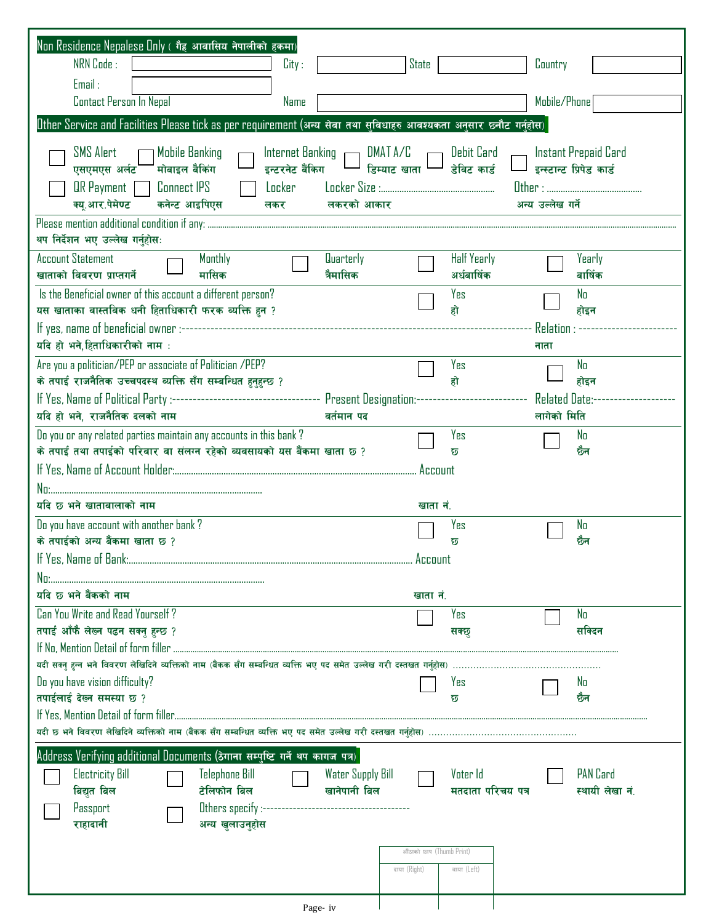| Non Residence Nepalese Only (गैह आवासिय नेपालीको हकमा)                                                                                           |                                         |
|--------------------------------------------------------------------------------------------------------------------------------------------------|-----------------------------------------|
| NRN Code:<br>City:                                                                                                                               | State<br>Country                        |
| Email:                                                                                                                                           |                                         |
| Contact Person In Nepal<br>Name                                                                                                                  | Mobile/Phone                            |
| Uther Service and Facilities Please tick as per requirement (अन्य सेवा तथा सुविधाहरु आवश्यकता अनुसार छनौट गर्नुहोस)                              |                                         |
| SMS Alert<br>Internet Banking ( DMAT A/C ( ) Debit Card<br>Mobile Banking ך                                                                      | Instant Prepaid Card                    |
| ] <sub>डिम्याट खाता</sub> L<br>मोबाइल बैकिंग<br>इन्टरनेट बैंकिग<br>एसएमएस अर्लट                                                                  | डेविट कार्ड<br>इन्स्टान्ट प्रिपेड कार्ड |
| $\mathbb{R}$ Payment $\Box$ Connect IPS<br>Locker<br>क्यू.आर.पेमेण्ट<br>कनेन्ट आइपिएस<br>लकरको आकार<br>लकर                                       | अन्य उल्लेख गर्ने                       |
| थप निर्देशन भए उल्लेख गर्नुहोस:                                                                                                                  |                                         |
| <b>Account Statement</b><br>Monthly<br>Quarterly                                                                                                 | <b>Half Yearly</b><br>Yearly            |
| खाताको विवरण प्राप्तगर्ने<br>मासिक<br>त्रैमासिक                                                                                                  | अर्धबार्षिक<br>बार्षिक                  |
| Is the Beneficial owner of this account a different person?<br>यस खाताका वास्तविक धनी हिताधिकारी फरक व्यक्ति हुन ?                               | Yes<br>No<br>हो<br>होइन                 |
|                                                                                                                                                  | Relation : -                            |
| यदि हो भने,हिताधिकारीको नाम :                                                                                                                    | नाता                                    |
| Are you a politician/PEP or associate of Politician /PEP?                                                                                        | Yes<br>No                               |
| के तपाई राजनैतिक उच्चपदस्थ व्यक्ति सँग सम्बन्धित हुनुहुन्छ ?                                                                                     | हो<br>होइन                              |
| If Yes, Name of Political Party :---------------------------------- Present Designation:---------<br>यदि हो भने, राजनैतिक दलको नाम<br>वर्तमान पद | <b>Related Date:-</b><br>लागेको मिति    |
| Do you or any related parties maintain any accounts in this bank?                                                                                | Yes<br>No                               |
| के तपाई तथा तपाईको परिवार वा संलग्न रहेको व्यवसायको यस बैंकमा खाता छ ?                                                                           | छैन<br>छ                                |
|                                                                                                                                                  | Account                                 |
|                                                                                                                                                  |                                         |
| यदि छ भने खातावालाको नाम                                                                                                                         | खाता नं.                                |
| Do you have account with another bank?<br>के तपाईको अन्य बैंकमा खाता छ ?                                                                         | Yes<br>No<br>छैन<br>छ                   |
|                                                                                                                                                  | Account                                 |
|                                                                                                                                                  |                                         |
| यदि छ भने बैंकको नाम                                                                                                                             | खाता नं.                                |
| Can You Write and Read Yourself?                                                                                                                 | Yes<br>No                               |
| तपाई आँफै लेख्न पढन सक्नु हुन्छ ?                                                                                                                | सक्दिन<br>सक्छ                          |
| यदी सक्नु हुन्न भने विवरण लेखिदिने व्यक्तिको नाम (बैंकक सँग सम्बन्धित व्यक्ति भए पद समेत उल्लेख गरी दस्तखत गर्नुहोस) ……………………………………………           |                                         |
| Do you have vision difficulty?                                                                                                                   | Yes<br>No.                              |
| तपाईलाई देख्न समस्या छ ?                                                                                                                         | ळेन<br>छ                                |
|                                                                                                                                                  |                                         |
|                                                                                                                                                  |                                         |
| Address Verifying additional Documents (ठेगाना सम्पुष्टि गर्ने थप कागज पत्र)                                                                     |                                         |
| <b>Electricity Bill</b><br><b>Telephone Bill</b><br><b>Water Supply Bill</b>                                                                     | PAN Card<br>Voter Id                    |
| टेलिफोन बिल<br>खानेपानी बिल<br>बिद्युत बिल                                                                                                       | स्थायी लेखा नं.<br>मतदाता परिचय पत्र    |
| Passport<br>अन्य खुलाउनुहोस<br>राहादानी                                                                                                          |                                         |
|                                                                                                                                                  |                                         |
|                                                                                                                                                  | औठाको छाप (Thumb Print)                 |
|                                                                                                                                                  | दाया (Right)<br>वाया (Left)             |
| Page- iv                                                                                                                                         |                                         |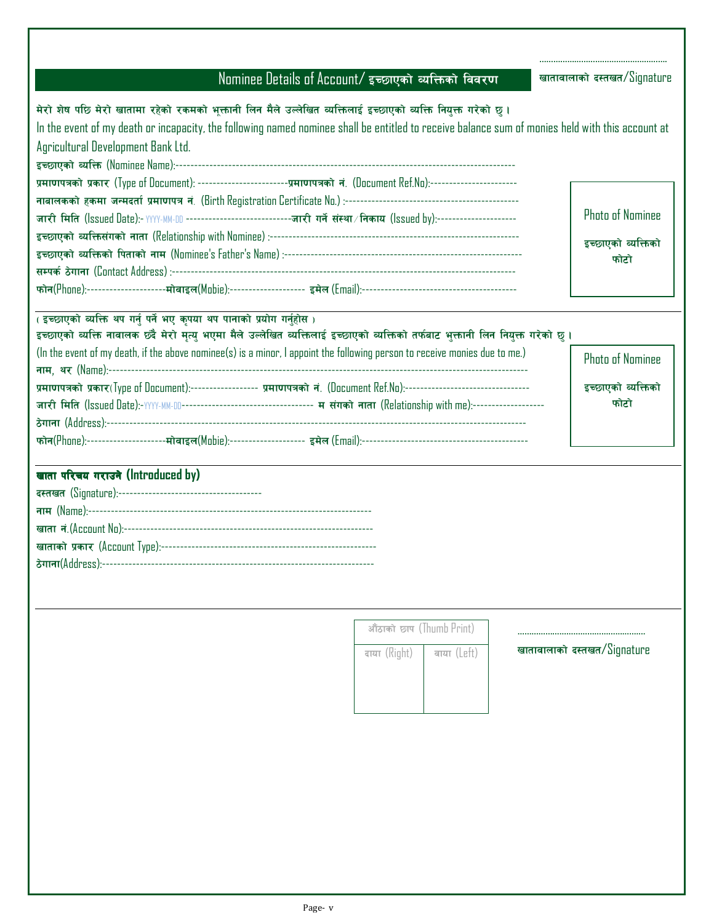| / Nominee Details of Account/ इच्छाएको व्यक्तिको विवरण |  |  |  |
|--------------------------------------------------------|--|--|--|
|                                                        |  |  |  |

खातावालाको दस्तखत/ ${\rm Signature}$ 

………………………………………………. खातावालाको दस्तखत/ ${\rm Signature}$ 

……………………………………………….

| मेरो शेष पछि मेरो खातामा रहेको रकमको भुक्तानी लिन मैले उल्लेखित व्यक्तिलाई इच्छाएको व्यक्ति नियुक्त गरेको छ ।                                    |                         |  |
|--------------------------------------------------------------------------------------------------------------------------------------------------|-------------------------|--|
| In the event of my death or incapacity, the following named nominee shall be entitled to receive balance sum of monies held with this account at |                         |  |
| Agricultural Development Bank Ltd.                                                                                                               |                         |  |
|                                                                                                                                                  |                         |  |
| प्रमाणपत्रको प्रकार (Type of Document): ------------------------प्रमाणपत्रको नं. (Document Ref.No):----------------------                        |                         |  |
|                                                                                                                                                  |                         |  |
|                                                                                                                                                  | <b>Photo of Nominee</b> |  |
|                                                                                                                                                  | इच्छाएको व्यक्तिको      |  |
|                                                                                                                                                  | फोटो                    |  |
|                                                                                                                                                  |                         |  |
|                                                                                                                                                  |                         |  |

| (इच्छाएको व्यक्ति थप गर्नु पर्ने भए कृपया थप पानाको प्रयोग गर्नुहोस)                                                             |                         |
|----------------------------------------------------------------------------------------------------------------------------------|-------------------------|
| इच्छाएको व्यक्ति नावालक छंदै मेरो मृत्यु भएमा मैले उल्लेखित व्यक्तिलाई इच्छाएको व्यक्तिको तर्फबाट भुक्तानी लिन नियुक्त गरेको छु। |                         |
| (In the event of my death, if the above nominee(s) is a minor, I appoint the following person to receive monies due to me.)      | <b>Photo of Nominee</b> |
|                                                                                                                                  |                         |
| प्रमाणपत्रको प्रकार(Type of Document):---------------- प्रमाणपत्रको नं. (Document Ref.No):--------------------------------       | इच्छाएको व्यक्तिको      |
|                                                                                                                                  | फोटो                    |
|                                                                                                                                  |                         |
|                                                                                                                                  |                         |

# खाता परिचय गराउने (Introduced by)

| औंठाको छाप (Thumb Print) |             |
|--------------------------|-------------|
| दाया (Right)             | वाया (Left) |
|                          |             |
|                          |             |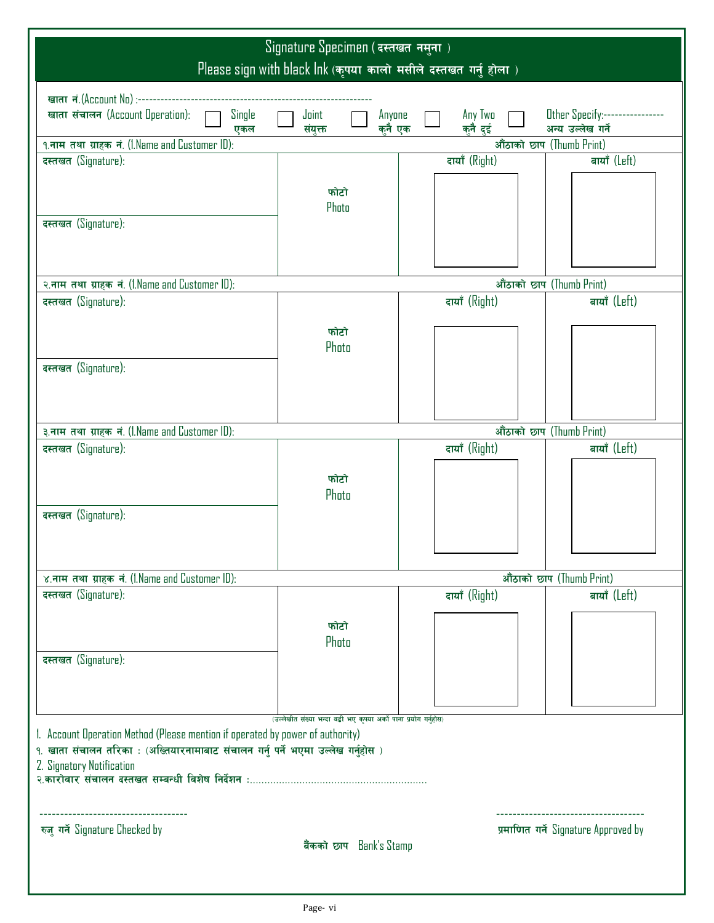| Signature Specimen (दस्तखत नमुना)<br>Please sign with black Ink (कृपया कालो मसीले दस्तखत गर्नु होला)           |                                                                 |        |               |                          |                                      |
|----------------------------------------------------------------------------------------------------------------|-----------------------------------------------------------------|--------|---------------|--------------------------|--------------------------------------|
|                                                                                                                |                                                                 |        |               |                          |                                      |
| Single<br>खाता संचालन (Account Operation):                                                                     | Joint                                                           | Anyone | Any Two       |                          | Other Specify:----------------       |
| एकल                                                                                                            | संयुक्त                                                         | कनै एक | कुनै दुई      |                          | अन्य उल्लेख गर्ने                    |
| १.नाम तथा ग्राहक नं. (I.Name and Customer ID):<br>दस्तखत (Signature):                                          |                                                                 |        | दायाँ (Right) | औंठाको छाप (Thumb Print) | बायाँ (Left)                         |
|                                                                                                                |                                                                 |        |               |                          |                                      |
|                                                                                                                | फोटो<br>Photo                                                   |        |               |                          |                                      |
| दस्तखत (Signature):                                                                                            |                                                                 |        |               |                          |                                      |
|                                                                                                                |                                                                 |        |               |                          |                                      |
|                                                                                                                |                                                                 |        |               |                          |                                      |
| २.नाम तथा ग्राहक नं. (I.Name and Customer ID):<br>दस्तखत (Signature):                                          |                                                                 |        | दायाँ (Right) | औंठाको छाप (Thumb Print) | बायाँ (Left)                         |
|                                                                                                                |                                                                 |        |               |                          |                                      |
|                                                                                                                | फोटो                                                            |        |               |                          |                                      |
|                                                                                                                | Photo                                                           |        |               |                          |                                      |
| दस्तखत (Signature):                                                                                            |                                                                 |        |               |                          |                                      |
|                                                                                                                |                                                                 |        |               |                          |                                      |
|                                                                                                                |                                                                 |        |               |                          |                                      |
| ३.नाम तथा ग्राहक नं. (I.Name and Customer ID):                                                                 |                                                                 |        |               | औंठाको छाप (Thumb Print) |                                      |
| दस्तखत (Signature):                                                                                            |                                                                 |        | दायाँ (Right) |                          | बायाँ (Left)                         |
|                                                                                                                |                                                                 |        |               |                          |                                      |
|                                                                                                                | फोटो                                                            |        |               |                          |                                      |
|                                                                                                                | Photo                                                           |        |               |                          |                                      |
| दस्तखत (Signature):                                                                                            |                                                                 |        |               |                          |                                      |
|                                                                                                                |                                                                 |        |               |                          |                                      |
|                                                                                                                |                                                                 |        |               |                          |                                      |
| ४.नाम तथा ग्राहक नं. (1.Name and Customer ID):                                                                 |                                                                 |        |               |                          | औंठाको छाप (Thumb Print)             |
| दस्तखत (Signature):                                                                                            |                                                                 |        | दायाँ (Right) |                          | बायाँ (Left)                         |
|                                                                                                                |                                                                 |        |               |                          |                                      |
|                                                                                                                | फोटो                                                            |        |               |                          |                                      |
|                                                                                                                | Photo                                                           |        |               |                          |                                      |
| दस्तखत (Signature):                                                                                            |                                                                 |        |               |                          |                                      |
|                                                                                                                |                                                                 |        |               |                          |                                      |
|                                                                                                                |                                                                 |        |               |                          |                                      |
|                                                                                                                | (उल्लेखीत संख्या भन्दा वढी भए कृपया अर्को पाना प्रयोग गर्नुहोस) |        |               |                          |                                      |
| 1. Account Operation Method (Please mention if operated by power of authority)                                 |                                                                 |        |               |                          |                                      |
| १. खाता संचालन तरिका : (अख्तियारनामाबाट संचालन गर्नु पर्ने भएमा उल्लेख गर्नुहोस )<br>2. Signatory Notification |                                                                 |        |               |                          |                                      |
|                                                                                                                |                                                                 |        |               |                          |                                      |
|                                                                                                                |                                                                 |        |               |                          |                                      |
|                                                                                                                |                                                                 |        |               |                          |                                      |
| रुजु गर्ने Signature Checked by                                                                                |                                                                 |        |               |                          | प्रमाणित गर्ने Signature Approved by |
|                                                                                                                | बैंकको छाप Bank's Stamp                                         |        |               |                          |                                      |
|                                                                                                                |                                                                 |        |               |                          |                                      |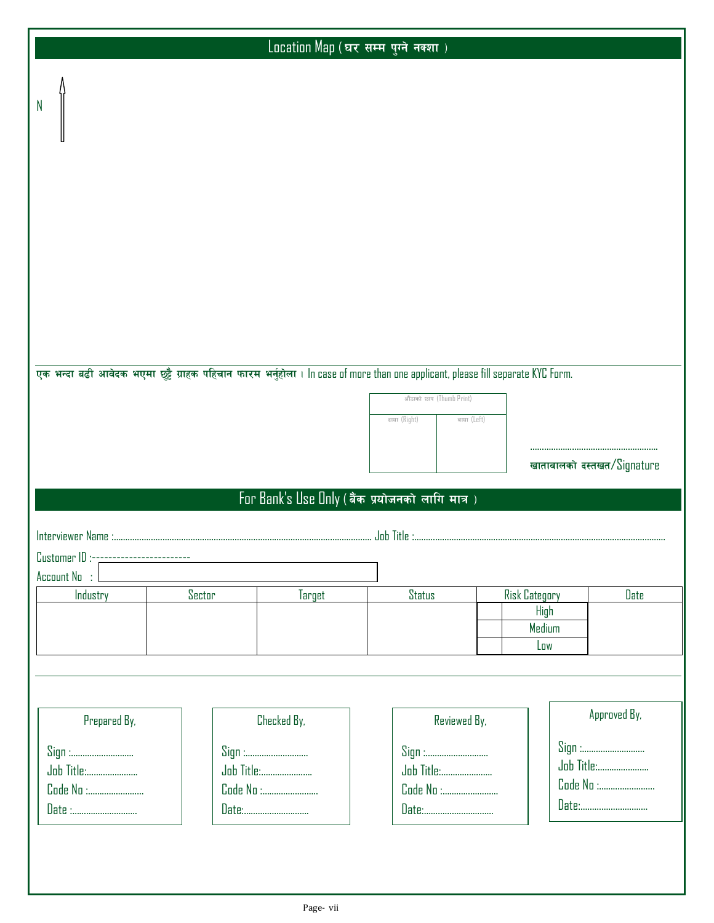|                                                                                                                              |        | दाया (Right)  |                                                                                                                  |                                                                                                                                                                                                                      |
|------------------------------------------------------------------------------------------------------------------------------|--------|---------------|------------------------------------------------------------------------------------------------------------------|----------------------------------------------------------------------------------------------------------------------------------------------------------------------------------------------------------------------|
|                                                                                                                              |        |               |                                                                                                                  |                                                                                                                                                                                                                      |
|                                                                                                                              |        |               |                                                                                                                  |                                                                                                                                                                                                                      |
| Sector                                                                                                                       | Target | <b>Status</b> |                                                                                                                  | Date                                                                                                                                                                                                                 |
|                                                                                                                              |        |               |                                                                                                                  |                                                                                                                                                                                                                      |
| Prepared By,<br>Checked By,<br>Sign :<br>Sign :<br><b>Job Title:</b><br><b>Job Title:</b><br>Code No :<br>Code No :<br>Date: |        | Reviewed By,  | Sign :                                                                                                           | Approved By,                                                                                                                                                                                                         |
|                                                                                                                              |        |               | औंठाको छाप (Thumb Print)<br>वाया (Left)<br>For Bank's Use Only (बैंक प्रयोजनको लागि मात्र)<br><b>Job Title :</b> | .<br>एक भन्दा बढी आवेदक भएमा छुट्टै ग्राहक पहिचान फारम भर्नुहोला । In case of more than one applicant, please fill separate KYC Form.<br>खातावालको दस्तखत/Signature<br><b>Risk Category</b><br>High<br>Medium<br>Low |

Location Map (घर सम्म पुग्ने नक्शा)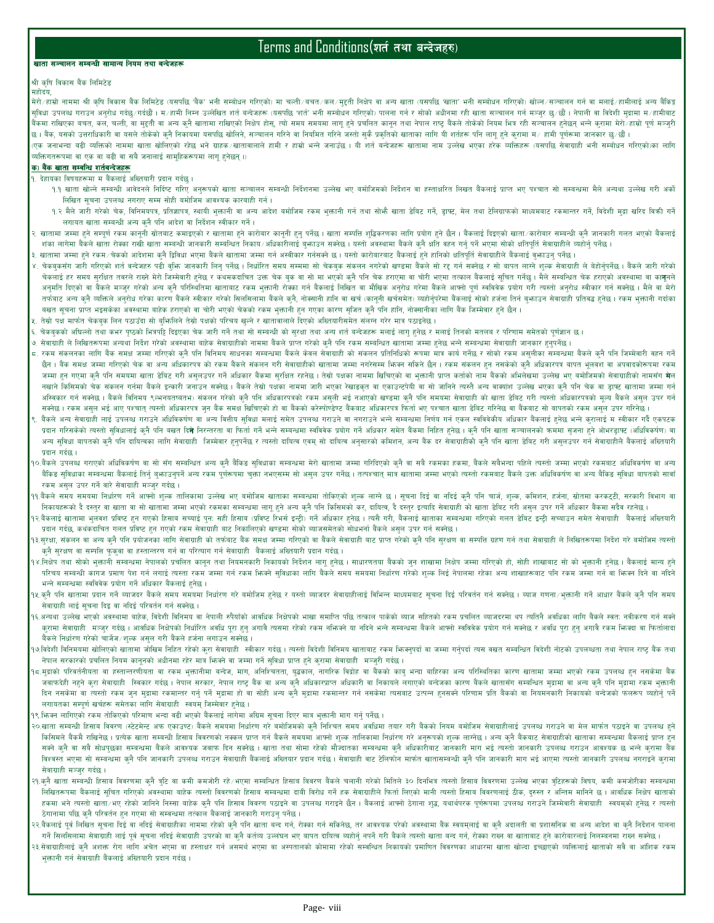# Terms and Conditions(शर्त तथा बन्देजहरु)

### खाता सञ्चालन सम्बन्धी सामान्य नियम तथा बन्देजहरू

# श्री कृषि विकास बैंक लिमिटेड

महोदय. मेरो∕हाम्रो नाममा श्री कृषि विकास बैंक लिमिटेड (यसपछि 'बैंक' भनी सम्बोधन गरिएको) मा चली/बचत⁄ कल∕मुदती निक्षेप वा अन्य खाता (यसपछि 'खाता' भनी सम्बोधन गरिएको) खोल∕सञ्चालन गर्न वा मलाई∕हामीलाई अन्य बैंकिङ्ग सुविधा उपलब्ध गराउन अनुरोध गर्दछ∕गर्दछौँ। म∕हामी निम्न उल्लेखित शर्त बन्जेजहरू (यसपछि भार्त' भनो समोश गरिएको) पालना गर्न र सोको अधीनमा रही खाता सञ्चालन गर्न मञ्जुर छ∕छौ । नेपाली वा विदेशी मुद्रामा म∕हामीवाट बैंकमा राखिएका बचत, कल, चली, वा महती वा अन्य कनै खातामा राखिएको निक्षेय होक्षेय तोस समयमा लगु हो जनको तमा तरह बैंकले तोकेको नियम भित्र रही सञ्चालन हुनेछन् भन्ने क्रामा मेरो∕हाम्रो पूर्ण मञ्जूरी छ। बैंक, यसको उत्तराधिकारी वा यसले तोकेको क्नै निकायमा यसपछि खोलिने, सञ्चालन गरिने वा नियमित जारी से प्रवहको खाताका लागि यी शर्तहरू पनि लागू हुने कुरामा म∕हामी पूर्णरूमा जानकार छ∕छौं।

(एक जनाभन्दा वढी व्यक्तिको नाममा खाता खोलिएको रहेछ भने ग्राहक∕खातावालले हामी र हाम्रो जन्ने जनाउँहर खातामा नाम उल्लेख भएका हरेक व्यक्तिहरू (यसपछि सेवाग्राही भनी सम्बोधन गरिएको)का लागि व्यक्तिगतरूपमा वा एक वा बढी वा सबै जनालाई सामूहिकरूपमा लागू हुनेछन् ।)

# <u>क) बैंक खाता सम्बन्धि शर्तबन्देजहरू</u>

१. देहायका विषयहरूमा म बैंकलाई अख्तियारी प्रदान गर्दछु ।

- १.१ खाता खोल्ने सम्बन्धी आवेदनले निर्दिष्ट गरिए अनुरूपको खाता सञ्चालन सम्बन्धी निर्देशनमा उल्लेख निर्देशन वा हस्ताक्षरित लिखत बैंकलाई प्राप्त भए पश्चात सो सम्बन्धमा मैले अन्यथा उल्लेख गरी अर्को खात सो सम्बन्धमा मैले अन्यथा लिखित सूचना उपलब्ध नगराए सम्म सोही बमोजिम आवश्यक कारबाही गर्न।
- १.२ मैले जारी गरेको चेक, विनिमयपत्र, प्रतिज्ञापत्र, स्थायी भूकानी वा अवश अवश बमाजिस रकम भारती गार्ज खाता और खात उलिग्राफ को माध्यमवाट रकमान्तर गर्ने, विदेशी मुद्रा खरिद विकी गर्ने लगायत खाता सम्बन्धी अन्य क्नै पनि आदेश वा निर्देशन स्वीकार गर्ने।
- २. खातामा जम्मा हुने सम्पूर्ण रकम कानूनी स्रोतवाट कमाइएको र खातामा हुने करोवार को हुनु पति शुद्धिक लागि प्रयोग हुने छैन । वैकलाई दिइएको खाता∕कारोवार सम्बन्धी कुनै जानकारी गलत भएको बैंकलाई शंका लागेमा बैंकले खाता रोक्का राखी खाता सम्बन्धी जानकारी सम्बन्धित निकाय/अधिकारीलाई बुफाउन सक्नेश्वर अवस्थामा बैंकले कुनै क्षति वहन गर्नु पर्ने भएमा सोको क्षतिपूर्ति सेवाग्राहीले व्यहोर्नु पर्नेछ ।
- ३. खातामा जम्मा हुने रकम∕चेकको आदेशमा कुनै द्विविधा भएमा बैंकले खातामा जम्मा गर्न अवशीकर जर्मसकने अरति अपि असे असे असे अतिपूर्ति सेवाग्राहीले बैंकलाई वुफाउन् पर्नेछ ।
- ४. चेकबुकसँग जारी गरिएको शर्त बन्देजहरु पढी बुफि जानकारी लिनु पर्नेछ । निर्धारत समय सम्मा सो चेकबुर सो सम्बने बुल्क से बगत लाग है। सम्मा सम्मा सम्मा सम्मा सम्मा सम्मा सम्मा सम्मा सम्मा सम्मा सम्मा सम्मा सम्मा सम्मा सम्मा स .<br>चेकलाई हर समय सुरक्षित तबरले राख्ने मेरो जिम्मेवारी हुनेछ र कथमकदाचित उक्त चेक बुक बा सा भा कहे हमे पाने भाग को भग कहाएक जिल्ला कुल कहाएको अवस्थामा वा का**न्**नले अनुमति दिएको वा बैंकले मञ्जुर गरेको अन्य कुनै परिस्थितिमा खाताबाट रकम भुक्तानी रोकका र्विकलिखित वा मौखिक अनुरोध गरेमा बैंकले आफो पूर्ण स्वविवेक प्रयोग गरी त्यस्तो अनुरोध स्वीकार गर्न सक्नेछ । मैले वा मेरो तर्फबाट अन्य क्नै व्यक्तिले अनुरोध गरेक कारण बैंकले स्वीकार गरेको सिलसिलामा बैंकले कुनै, नोक्सानी हार्नि बजिने, व्यवाली बजबाई सोको हर्जना तिर्न बुफाउन सेवाग्राही प्रतिबद्ध हुनेछ । रकम भुक्तानी गर्दाका वखत सुचना प्राप्त भइसकेका अवस्थामा बाहेक हराएको वा चोरी भएको चेकको रकम भुक्तानी हुन गएका कारण सुजित कुनै पनि हानि, नोक्सानीका लागि बैंक जिम्मेवार हुने छैन ।
- तेस्रो पक्ष मार्फत चेकबुक लिन पठाउँदा सो बुफिलिने तेस्रो पक्षको परिचय खुल्ने र खातावालाले दिएको अख्तियारीसमेत सलग्न गरेर मात्र पठाइनेछ ।
- चेकबुकको अधिल्लो तथा कभर पृष्ठको भित्रपट्टि दिइएका चेक जारी गर्ने तथा सो सबस्वी को सुरक्षा तथा अप कार्ज का सलाई लागु हुनेछ र मलाई तिनको मतलब र परिणाम समेतको पूर्णज्ञान छ।
- ७. सेवाग्राही ले लिखितरूपमा अन्यथा निर्देश गरेको अवस्थामा बाहेक रोबालीको नाममा बैकले प्राप्त गर्ने सम्बन्धित खातामा जम्मा हुनेछ भन्ने सम्वन्धमा सेवाग्राही जानकार हुनुपर्नेछ।
- ८. रकम संकलनका लागि बैंक समक्ष जम्मा गरिएको कुनै पनि विनिमय साधनका समका सबन के बनल को बाज कर जमा पात्र कर गांछ र सोको रकम असुलीका सम्बन्धमा बैंकले कुनै पनि जिम्मेवारी वहन गर्ने छैन । वैक समक्ष जम्मा गरिएको चेक वा अन्य अधिकारपत्र को रकम वैकले संकल संकल बाता जमा नगरेसम्म फिक्न सकले छैन । रकम संकलन हुन नसकेको कुनै अधिकारपत्र वापत भूलवश वा अपवादकोरूपमा रकम जम्मा हन गएमा कनै पनि समयमा खाता डेबिट गरी असलउपर गर्ने अधिकार बैंकमा सरकित रहनेछ। तेआ पार्शकाली प्राप्त कर्ताको नाम बैंकको अभिलेखमा उल्लेख भए बमोजिमको सेवाग्राहीको नामसँग **मे**ल नखाने किसिमको चेक संकलन गर्नमा बैंकले इन्कारी जनाउन सक्नेछ । बैंकले तेस्रो पक्षका पामा जारी भएका रेखाइन्टर को बा सो जानिने त्यस्तै अन्य वाक्यांश उल्लेख भएका क्नै पनि चेक वा डाफ्ट खातामा जम्मा गर्न अस्विकार गर्न सक्नेछ । बैंकले विनिमय ९त्भनयतष्वतभ) संकलन गरेको कुनै पनि अधिकारपत्रको रकम असूली भई नआएको खुडमा कुनै पनि समयमा सेवाग्राही को खाता डेविट गरी त्यस्तो अधिकारपत्रको मूल्य बैंकले असुल उपर गर्न सक्तेछ । रकम असुल भई आए पश्चात् त्यस्तो अधिकारपत्र जुन बैंक समक्ष खिचिएको हो बा बैंकको करेसपोण्डेण्ट कीकार पश्चित भए पश्चात खाता डेविट गरितेछ वा बैंकवाट सो बापतको रकम असुल उपर गरिनेछ ।
- बैंकले अन्य सेवाग्राही लाई उपलब्ध गराउने अधिविकर्षण वा अन्य वितिय सुविध मलाई समेत उपलब्ध गराउने भाने सम्बन्धमा निर्णय गर्न एकल स्वविकीय अधिकार बैंकलाई हुनेछ भन्ने कुरालाई म स्वीकार गर्दै एकपटक प्रदान गरिसकेको त्यस्तो सुविधालाई कुनै पनि बखत दि**ने** निरन्तरता वा फिर्ता पर्ने सम्बन्धमा सम्बल सम्मा सहित कुने अपने बाज सञ्चालको कममा सुजना हुने ओभरड्राफ्ट (अधिविकर्षण) वा अन्य सुविधा बापतको कुनै पनि दाधित्वका लागि सेवाग्राही जिम्मेवार हुनुपर्नेछ र रस्तो दाधित्व अनुसारको कमिशन, अन्य बैंक दर सेवाग्राहीको कुनै पनि खाता डेविट गरी असुलउपर गर्न सेवाग्राहीले बैंकलाई अख्तियारी प्रदान गर्दछ ।
- 90.बैंकले उपलब्ध गराएको अधिविरूषण वा सो सँग सम्वन्धित अन्य कुनै बैकिङ सुविधाका सम्वयमा गरे। बाला गरिंदिएको कुनै वा सबै रकमका हकमा, बैंकले सबैभन्दा पहिले त्यस्तो जम्मा भएको रकमवाट अधिविकर्षण वा अन्य बैंकिङ सुविधाका सम्बन्धमा बैंकलाई तिर्नु बुफाउनुपर्ने अन्य रकम पूर्णरूपमा चुका नभएसम सो असुल उपर गर्नेछ । तत्पश्चात् मात्र बातामा जम्मा भएको त्यस्तो रकमबाट बैंकले उक्त अधिविकर्षण वा अन्य बैकिङ सुविधा बापतको साबाँ रकम असुल उपर गर्ने वारे सेवाग्राही मञ्जुर गर्दछ।
- ११.वैंकले समय समयमा निर्धारण गर्ने आफ्नो शुल्क तालिकामा उल्लेख भए बमोजिम खाताका समयमा तोकएको शल्क आर बुद्ध गरिई कनै पनि चार्ज, शुल्क, कमिशन, हर्जना, स्नोतमा करकट्टी, सरकारी विभाग वा निकायहरूको दै दस्तुर वा खाता वा सो खातामा जम्मा भएको रकमका सम्बन्धमा लागु हुने अन कुनै पनि क्रिसिको कर, दायित्व, दै दस्तुर इत्यादि सेवाग्राही को खाता डेविट गरी असुल उपर गर्ने अधिकार बैंकमा सदैव रहनेछ ।
- १२.बैंकलाई खातामा भुलवश प्रविष्ट हुन गएको हिसाब सच्याई पुन: सही हिसाब (प्रविष्ट (प्रेस इन्ट्री) गर्ने अधिकार हनेछ । त्यसै गरी, बैंकलाई खाताका सम्बन्धमा गरिएको गलत डेबिट इन्ट्री सच्याउन समेत सेवाग्राही बैंकलाई अख्तियारी प्रदान गर्दछ, कथंकदाचित गलत प्रविष्ट हुन गएको रकम सेवाग्राही बाट निकालिएको खण्डमा सोको व्याजसमेतको सोधभर्ना बैंकले असुल उपर गर्न सक्नेछ ।
- १३.सुरक्षा, संकलन वा अन्य कुनै पनि प्रयोजनका लागि सेवाग्राही को तर्फबाट बैंक समा गरिएको वा सेवाग्राही करने पनि सरक्षण वा सम्पत्ति ग्रहण गर्न तथा सेवाग्राही ले लिखितरूपमा निर्देश गरे बर्माजिम त्या सेवाग्राही ले लिखितरूपमा न क्नै सुरक्षण वा सम्पत्ति फुक्बा वा हस्तान्तरण गर्न वा परित्याग गर्न सेवाग्राही वैंकलाई अख्तियारी प्रदान गर्दछ।
- १४.निक्षेप तथा सोको भुकानी सम्बन्धमा नेपालको प्रचलित कानून तथा नियमनकारी निकपको निवेध । साजारण बाजार नियम जारा निक्षेप जम्मा गरिएको हो, सोही शाखाबाट सो को भुकानी हुनेछ । बैंकलाई मान्य हुने परिचय सम्बन्धी कागज प्रमाण पेश गर्न लगाई त्यस्ता रकम जम्मा गर्न रकम भिको साथिको लाभि केले समय मानियाँ गरेको शुल्क लिई नेपालमा रहेका अन्य शाखाहरूबाट पनि रकम जम्मा गर्न वा भिन्न दिने वा नदिने भन्ने सम्बन्धमा स्वविवेक प्रयोग गर्ने अधिकार बैंकलाई हनेछ ।
- ११.कुनै पनि खातामा प्रदान गर्ने व्याजदर बैंकले समय समयमा निर्धारण गरे बर्गाजाल होख र यसेला बाई वाधिन माध्यमबाट सूचना दिई परिवर्तन गर्न सक्नेछ । व्याज गणना∕भुक्तानी गर्ने आधार बैंकले कुनै पनि समय सेवाग्राही लाई सूचना दिइ वा नदिई परिवर्तन गर्न सक्नेछ ।
- १६.अन्यथा उल्लेख भएको अवस्थामा बाहेक, विदेशी विनिमय वा नेपाली रुपैयाँको आवधिक निक्षेपको भाषा राष्ठि तत्कल पाकेको व्याज सहितको रकम प्रचलित व्याजदरमा थप त्यतिनै अवधिका लागि बैंकले स्वत: नवीकरण गर्न सक्ने क्रामा सेवाग्राही मञ्जूर गर्दछ। आवधिक निक्षेपको निर्धारित अवधि पूरा सुन आवै असन सकम या निक्षेत्र सम्मेल आपनो स्वविवेक प्रयोग गर्न सक्नेछ र अवधि पूरा हुनु अगावै रकम फिक्दा वा फिर्तालादा वैंकले निर्धारण गरेको चार्जेज ⁄शुल्क असुल गरी वैंकले हर्जना लगाउन सक्नेछ ।
- १७.विदेशी विनिमयमा खोलिएको खातामा जोखिम निहित रहेको कुरा सेवाग्राझी सबीकार राखेल । तब्सो विदेश कामा जम्मा गर्नपर्वा लाजम्मा गर्नपर्वा तस वसत सम्वन्धित विदेशी नोटको उपलब्धता तथा नेपाल राष्ट्र बैंक तथा नेपाल सरकारको प्रचलित नियम कानूनको अधीनमा रहेर मात्र भिन्नने वा जम्मा गर्ने सुविधा प्राप्त हुने कुरामा सेवाग्राही मञ्जुरी गर्दछ।
- ९८.मुद्राको परिवर्तनीयता वा हस्तान्तरणीयता वा रकम भक्तानीमा बन्देज, माग, अनिश्चितता, युद्रकाल, नागरिक विद्रोह वा बैंकको काब् बाहरका अन्य परिस्थितिका कारण खातामा जम्मा भएको रकम उपलब्ध हन नसकेमा बैंक जवाफदेही नहने करा सेवाग्राही स्विकार गर्दछ । नेपाल सरकार, नेपाल राष्ट बैंक वा अन्य कनै अधिकारप्राल कीरिकाले लगाएको बन्देजका कारण बैंकले खातासँग सम्बन्धित मद्रामा वा अन्य कनै पनि मद्रामा रकम भुक्तानी दिन नसकेमा वा त्यस्तो रकम जुन मुद्रामा रकमान्तर गर्नु पर्ने मुद्रामा हो आया कले अहमै सहारा राजसको सबको परिणाम प्रति बैंकको वा नियमनकारी निकायको बन्देजको फलरूप व्यहोर्नु पर्ने पर्ने पर् लगायतका सम्पूर्ण खर्चहरू समेतका लागि सेवाग्राही स्वयम् जिम्मेवार हुनेछ ।
- १९.भिन्न लागिएको रकम तोकिएको परिमाण भन्दा वढी भएको बैंकलाई लागेमा अग्रिम सूचना दिएर मात्र भुक्तानी माग गर्नु पर्नेछ।
- २०.खाता सम्बन्धी हिसाब विवरण (स्टेटमेन्ट अफ एकाउण्ट) बैंकले समयमा निर्धारण गरे बमोजिम समय अवधिमा तयार गरी बैंकको नियम बमोजिम सेवाग्राहीलाई उपलब्ध गराउने वा मेल मार्फत पठाइने वा उपलब्ध हो किसिमले बैंकमै राखिनेछ। प्रत्येक खाता सम्बन्धी हिसाब विवरणको नक्कल प्राप्त गर्न बैंकले समयमा आफ्नो शुल्क तालिकामा निर्धारण गरे अनुरूपको शुल्क लाग्नेछ। अन्य कुनै बैंकबाट सेवाग्राहीको खाताका सम्बन्धमा बैंकलाई प्राप्त हुन सको कुनै वा सबै सोधपुछका सम्बन्धमा बैंकले आवश्यक जवाफ दिन सकोछ । खाता तथा सोमा रहेको मौजदातका सम्बन्धमा कई असले जानकारी माग भई त्यस्तो जानकारी उपलब्ध गराउन आवश्यक छ भन्ने क्रामा बैंक विश्वस्त भएमा सो सम्बन्धमा कुनै पनि जानकारी उपलब्ध गराउन सेवाग्राही बैंकलाई अलिलार पार्ड अवाजही मार्त बातासम्बन्धी कुनै पनि जानकारी माग भई आएमा त्यस्तो जानकारी उपलब्ध नगराइने कुरामा सेवाग्राही मञ्जुर गर्दछ।
- २१.कुनै खाता सम्वन्धी हिसाब बिवरणमा कुनै तृटि वा कमी कमजोरी रहे∕भएमा सम्बन्धित हिसाब बेकले चलानी गरेको मितिले ३० दिनभित्र त्यस्तो हिसाब विवरणमा उल्लेख भएका तुटिहरूको विषय, कमी कमजोरीका सम्बन्धमा लिखितरूपमा बैंकलाई सुचित गरिएको अवस्थामा बाहेक त्यस्तो विवरणको हिसाब सम्बन्धमा बाबी विरोध गर्ने हक लिया लिएको मानी त्यस्तो हिसाब विवरणलाई ठीक, दुरुस्त र अन्तिम मानिने छ । आवधिक निक्षेप खाताको हकमा भने त्यस्तो खाता∕भए रहेको जानिने निस्सा बाहेक कुनै पनि हिसाव विवरण पठाइने वा बाउपलब्ध गराई बेजलाई आफ्नो ठोगना शुद्ध, यथार्थपरक पूर्णरूपमा उपलब्ध गराउने जिम्मेवारी सेवाग्राही स्वयम्को हुनेछ र त्यस्तो ठेगानामा पछि कुनै परिवर्तन हुन गएमा सो सम्वन्धमा तत्काल बैंकलाई जानकारी गराउनु पर्नेछ ।
- २२.बैंकलाई पूर्व लिखित सूचना दिई वा नदिई सेवाग्राहीका नाममा रहेको कुनै पनि खाता बन्द गर्न, रोकल, परिकेल, तर आवश्यक परेको अवस्थामा बैंक स्वयम्लाई वा कुनै अदालती वा प्रशासनिक वा अन्य आदेश वा कुनै निर्देशन पालना गर्ने सिलसिलामा सेवाग्राही लाई पूर्व सुचना नदिई सेवाग्राही उपरको वा कुनै कर्तव्य उल्ले चारत कराने सबल बाल बन्द गर्न, रोक्का राख्न वा खाताबाट हुने कारोबारलाई निलम्बनमा राख्न सक्नेछ।
- २३.सेवाग्राहीलाई कनै अशक्त रोग लागि अचेत भएमा वा हस्ताक्षर गर्न अस्पतालको कोमामा रहेको सम्वन्धित निकायको प्रमाणित विवरणका आधारमा खाता खोल्दा इच्छाएको व्यक्तिलाई खाताको सबै वा आंशिक रकम भुक्तानी गर्न सेवाग्राही बैंकलाई अख्तियारी प्रदान गर्दछ।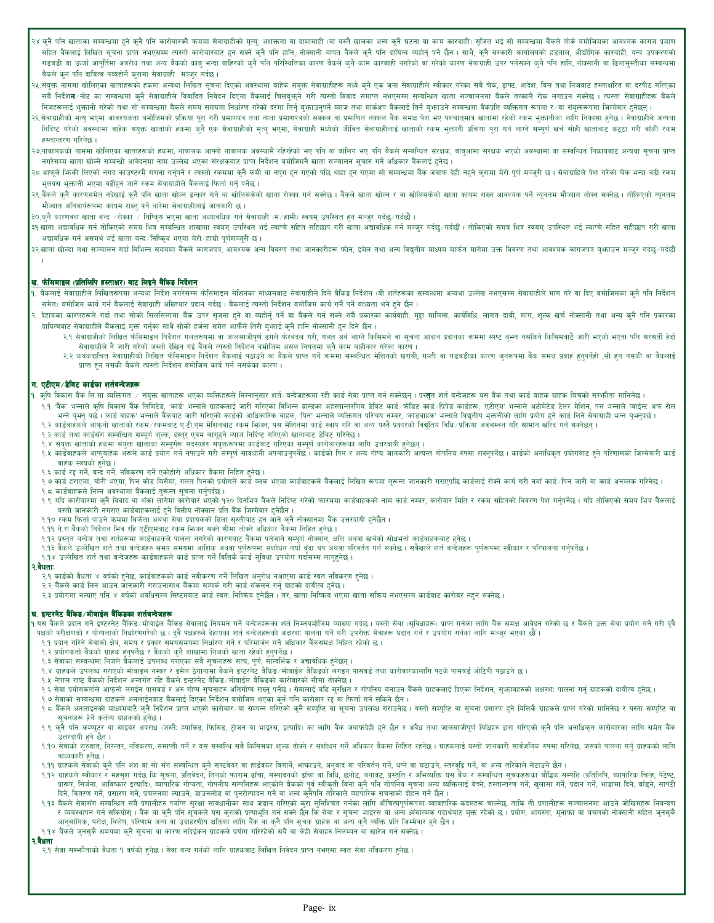- २४.कुनै पनि खाताका सम्बन्धमा हुने कुनै पनि कारोवारको कममा सेवाग्राहीको सुल्यु, अशक्तता वा यससे खालका अन्य कुनै घटना वा काम कारवाही) सुजित भई सो सम्बन्धमा बैंकले तोके वमोजिमका आवश्यक कागज प्रमाण सहित बैंकलाई लिखित सूचना प्राप्त नभएसम्म त्यस्तो कारोबारबाट हुन सक्ने कुनै पनि हामिन बैंकले कुनै पनि दायित्व व्यहोर्नु पर्ने छैन । साथै, कुनै सरकारी कार्यालयको हडताल, औद्योगिक कारबाही, यन्त्र उपकरणको गडवडी वा ऊर्जा आपूर्तिमा अवरोघ तथा अन्य बैंकको काबु भन्दा बाहिरको कुनै पनि परिस्थितिका कारण के कारको कारको कारण सेवाग्राही उपर पर्नसकने कुनै पनि हानि, नोक्सानी वा ढिलासुस्तीका सम्बन्धमा बैंकले कुन पनि दायित्व नव्यहोर्ने कुरामा सेवाग्राही मञ्जुर गर्दछ।
- २४.संयुक्त नाममा खोलिएका खाताहरूको हकमा अन्यथा लिखित सूचना सिरको अवस्थामा वाहेक संवेचार सेवेग परिका सबैने चेनेक, ड्राफ्ट, आदेश, विल तथा निजवाट हस्ताक्षरित वा दरपीठ गरिएका सबै निर्देश**न**∕नोट का सम्बन्धमा कुनै सेवाग्राहीले विवादित निवेदन सिखन बैकलाई चिताद समाज नभएसम्म सम्बन्धित खाता सञ्चालनमा बैंकले तत्कालै रोक लगाउन सक्नेछ । त्यस्ता सेवाग्राहीहरू बैंकले निजहरूलाई भुक्तानी गरेको तथा सो सम्बन्धमा बैंकले समय समयमा निर्धारण गरेको दरमा तिनुं अजाज बौज पत्र काला सम्बन्धमा बैकप्रति व्यक्तिगत रूपमा र∕वा संयुक्तरूपमा जिम्मेवार हुनेछन् ।
- २६.सेवाग्राहीको मृत्यु भएमा आवश्यकता बमोजिमको प्रकिया पूरा गरी प्रमाणपत्र तथा पाणपत्रको सकल बैक समक्ष पेश भए पश्चात्मात्र खातामा रहेको रकम भुक्तानीका लागि निकासा हुनेछ । सेवाग्राहीले अन्यथा निर्दिष्ट गरेको अवस्थामा बाहेक संयुक्त खाताको हकमा कुनै एक सेवाग्राहीको मुखा, सेवाग्राही मध्येको जीवत सेवाल सम्बल माति सम्पूर्ण बर्च सोही खाताबाट कट्टा गरी बाँकी रकम हस्तान्तरण गरिनेछ ।
- २७.नावालकको नाममा खोलिएका खाताहरूको हकमा, नावालक आरमो नावालक अवस्थामै रहिरहेको भए पनि वालिग भए पनि वैकले सम्बलित संरक्षक, बाबुआमा संरक्षक भएको अवस्थामा वा सम्बन्धित निकायबाट अन्यथा सूचना प्राप्त भएको अवस्थामा वा सम्बन्धित नगरेसम्म खाता खोल्ने सम्बन्धी आवेदनमा नाम उल्लेख भएका संरक्षकबाट प्राप्त निर्देशन बमोजिमनै खाता सञ्चालन सुचारु गर्ने अधिकार बैंकलाई हुनेछ।
- २८.आफूले फिकी लिएको नगद काउण्टरमै गणना गर्नुपर्ने र त्यस्तो रकममा कुनै कमी वा नपुग हुने गएमा सो सम्बनमा बैक जवाफ देही नहुने कुरामा मेरो पूर्ण मञ्जुरी छ। सेवाग्राहिले पेश गरेको चेक भन्दा वही रकम भुलवस भुक्तानी भएमा वढीहुन जाने रकम सेवाग्राहीले बैंकलाई फिर्ता गर्नु पर्नेछ ।
- २९.बैंकले कुनै कारणसमेत नदेखाई कुनै पनि खाता खोल्न इन्कार गर्ने वा खोलसकेको बाल बोलसको बाल का का बाल का का बाल आप राख्न आपश्यक पर्ने न्यूनतम मौज्दात तोक्न सक्नेछ । तोकिएको न्यूनतम मौज्दात तोक्न सक्नेछ । तोकिएको न्यूनतम मौज्दात अनिवार्यरूपमा कायम राख्नु पर्ने बारेमा सेवाग्राहीलाई जानकारी छ।
- ३०.क्नै कारणवश खाता बन्द ∕रोक्का ∕ निष्कृय भएमा खाता अध्यावधिक गर्न सेवाग्राही (म∕हामी) स्वयम् उपस्थित हुन मञ्जुर गर्दछ/गर्दछौ ।
- ३१.खाता अद्यावधिक गर्न तोकिएको समय भित्र सम्बन्धित शाखामा स्वयम् उपस्थित भई त्याप्ते सहिला अद्यावश्चिक गर्न मञ्जूर गर्दछ/गर्दछी । तोकिएको समय भित्र स्वयम् उपस्थित भई ल्याप्चे सहित सहीछाप गरी खाता अद्यावधिक गर्न असमर्थ भई खाता बन्द∕निष्किय भएमा मेरो∕हाम्रो पूर्णमञ्जुरी छ।
- ३२.खाता खोल्दा तथा सञ्चालन गर्दा विभिन्न समयमा बैंकले कागजपत्र, आवश्यक अन्य विराग तथा जानहीतक मते का अध्या मार्फत मागमा उक्त विवरण तथा आवश्यक कागजपत्र वृभाउन मञ्जूर गर्दछ∕गर्दछै/गर्दछै

#### <u>ख. फेसिमाइल (प्रतिलिपि हस्ताक्षर) बाट लिइने बैंकिड निर्देशन</u>

- .<br>१. बैंकलाई सेवाग्राहीले लिखितरूपमा अन्यथा निर्देश नगरेसम्म फीसमाइल मेशनका मोध्यमवाट सेवाग्राहीले नोकिल निर्देशन (यी शर्तहरूका सम्बन्धमा अन्यथा उल्लेख नभएसम्म सेवाग्राहीले माग गरे वा दिए बमोजिमका कुनै पनि निर्देशन समेत) बमोजिम कार्य गर्न बैंकलाई सेवाग्राही अख्तियार प्रदान गर्दछ। बैंकलाई त्यस्तो निर्देशन बमोजिम कार्य गर्नै पर्ने बाध्यता भने हुने छैन।
- देहायका कारणहरूले गर्दा तथा सोको सिलसिलामा बैंक उपर सृजना हुने वा बबार्डानु पर्ने सबै बकर गर्न सबै प्रकारका कार्यवाही, मुद्दा मामिला, कार्यविधि, लागत दाबी, माग, शुल्क खर्च नोक्सानी तथा अन्य कुनै पनि प्रकारका दायित्वबाट सेवाग्राहीले बैंकलाई मुक्त गर्नुका साथै सोको हर्जना समेत आफैंले तिरी बुफाई कुनै हानि नोक्सानी हुन दिने छैन ।
	- २.१ सेवाग्राहीको लिखित फेसिमाइल निर्देशन गलतरूपमा वा जालसाजीपूर्ण ढंगले फेवदल गरी, गलत अर्थ लिसिमले वा सूचना आदान प्रदानका क्रममा स्पष्ट बुभन नसकिने किसिमबाटै जारी भएको भएता पनि सरसती हेर्दा सेवाग्राहीले नै जारी गरेको जस्तो देखिन गई बैंकले त्यस्तो निर्देशन बमोजिम असल नियतमा कुनै काम बाहीकार गरेका कारण।
		- २.२ कथंकदाचित सेवाग्राहीको लिखित फेसिमाइल निर्देशन बैंकलई पठाउने वा बौकले प्राप्त भार्मको समकी बारणी, गल्ती वा गडबडीका कारण जुनरूपमा बैंक समक्ष प्रवाह हुनुपर्नेहो ,सो हुन नसकी वा बैंकलाई प्राप्त हुन नसकी बैंकले त्यस्तो निर्देशन बमोजिम कार्य गर्न नसकेका कारण।

#### ग. एटीएम⁄डेबिट कार्डका शर्तबन्देजहरू

१. कृषि विकास बैंक लि.मा व्यक्तिगत ∕ संयुक्त खाताहरू भएका व्यक्तिहरूले निमानुसार शर्त/बन्देल सा राजिक सेवा अस्तत शर्त बन्देवाहरू यस बैंक तथा कार्ड बाहक ग्राहक विचको सम्फौता मानिनेछ ।

- १.१ 'वैंक' भन्नाले कपि विकास बैंक लिमिटेड, 'कार्ड' भन्नाले ग्राहकलाई जारी गरिका विभिन्न ब्राहका अहसर काई,'क्रोडट काई,'प्रिंड काईहरू, 'एटीएम' भन्नाले अटोमेटेड टेलर मेशिन, पस भन्नाले प्वाईन्ट अफ सेल भन्ने वुभन् पर्छ। कार्ड बाहक' भन्नाले बैंकबाट जारी गरिएको कार्डको आधिकारिक बाहक, पिन' भन्नाल परिचय नम्बर, 'कडबाहक' भन्नाले विचतीय भक्तनीको लागि प्रयोग हुने कार्ड लिने सेवाग्राही भन्न वुभनपर्छ।
- १.२ कार्डवाहकले आफनो खाताको रकम√रकमबाट ए.टी.एम मेशिनबाट रकम फिक्न, पस मेशिनमा कार्ड रूपमा कार बाजा अप परते प्रकारको विद्यतिय विधि∕प्रकिया अवलम्बन गरि सामान खरिद गर्न सक्नेछन् ।
- १.३ कार्ड तथा कार्डसँग सम्बन्धित सम्पूर्ण शुल्क, दस्तुर् एवम लागूहुने ब्याज निर्दिष्ट गरिएको खाताबाट डेविट गरिनेछ।
- १.४ संयुक्त खाताको हकमा संयुक्त खाताका सम्पूर्णरू सदस्यहरु संयुक्तरूपमा कार्डवाट गरिएका सम्पूर्ण कारोवारहरूका लागि उत्तरदायी हुनेछन् ।
- १.५ कार्डवाहकले आफुवाहेक अरूले कार्ड प्रयोग गर्न नपाउने गरी सम्पूर्ण सावधानी अपनाउनु कार्डको पिन र अन्य गोप जानकारी अत्यन्त गोपनिय रुपमा राख्नुपर्नेछ । कार्डको अनाधिकृत प्रयोगबाट हुने परिणामको जिम्मेवारी कार्ड वाहक स्वयंको हुनेछ ।
- १.६ कार्ड रद्द गर्ने, बन्द गर्ने, नविकरण गर्ने एकोहोरो अधिकार बैंकमा निहित हुनेछ।
- १.७ कार्ड हराएमा, चोरी भएमा, पिन कोड विसेंमा, गलत पिनको प्रयोगले कार्ड कार्क कार्डवाहकले बैंकलाई लिखित रूपमा तुरूत्त जानकारी गराएपछि कार्डलाई रोक्ने कार्य गरी नयाँ कार्ड∕पिन जारी वा कार्ड अनल्लक गरिनेछ ।
- १.८ कार्डवाहकले निम्न अवस्थामा बैंकलाई तुरून्त सूचना गर्नुपर्दछ ।
- १.९ यदि कारोबारमा कुनै विवाद वा शंका लागेमा कारोबार भएको १२० दिनभित्र बैंकले निर्दिष्ट गरेको फारमा काईवाहकको नाम काई नम्बर, कारोबार मिति र रकम सहितको विवरण पेश गर्नुपर्नेछ । यदि तोकिएको समय भित्र बैंकलाई यस्तो जानकारी नगराए कार्डवाहकलाई हुने वित्तीय नोक्सान प्रति बैंक जिम्मेवार हुनेछैन ।
- १.१० रकम फिर्ता पाउने क्रममा विक्रेता अथवा सेवा प्रदायकको ढिला सुस्तीबाट हुन जाने कुनै नोक्सानमा बैंक उत्तरदायी हुनेछैन।
- १.११ ने रा.बैंकको निर्देशन भित्र रहि एटीएमबाट रकम भिन्नन सक्ने सीमा तोक्ने अधिकार बैंकमा निहित हुनेछ ।
- १.१२ प्रस्तुत बन्देज तथा शर्तहरूमा कार्डवाहकले पालना नगरेको कारणबाट बैंकमा पर्नजाने सम्पूर्ण नोक्सान, क्षति अथवा खर्चको सोधभर्ना कार्डवाहकबाट हुनेछ।
- १.१३ वैंकले उल्लेखित शर्त तथा बन्देजहरु समय समयमा आंशिक अथवा पर्णरूपमा संशोधन नयाँ वँदा थप अथवा परिवर्तन गर्न सक्नेछ । सबैखाले शर्त बन्देजहरू पूर्णरूपमा स्वीकार र परिपालना गर्नपर्नेछ ।
- १.१४ उल्लेखित शर्त तथा बन्देजहरू कार्डवाहकले कार्ड प्राप्त गर्ने बित्तिकै कार्ड सुविधा उपयोग गर्दासम्म लागृहनेछ।

#### २.वैधता:

- २.१ कार्डको वैधता ४ वर्षको हुनेछ, कार्डवाहकको कार्ड नवीकरण गर्ने लिखित अनुरोध नआएमा कार्ड स्वत नविकरण हुनेछ ।
- २.२ बैंकले कार्ड लिन आउन जानकारी गराउनासाथ बैंकमा सम्पर्क गरी कार्ड संकलन गर्नु ग्राहको दायीत्व हुनेछ ।
- २.३ प्रयोगमा नल्याए पनि ४ वर्षको अवधिसम्म सिप्टमबाट कार्ड स्वतः निष्किय हुनेछैन । तर, खाता निष्किय भएमा खाता सकिय नभएसम्म कार्डबाट कारोबर नहुन सक्नेछ ।

#### घ. इन्टरनेट बैंकिड/मोबाईल बैंकिडका शर्तबन्देजहरू

१.यस बैंकले प्रदान गर्ने इण्टरनेट बैंकिङ शोबाईल बैंकिङ सेवालाई नियमन गर्ने बनेदारुका शर्त मनिका पार्था परिवालिं आप गर्नका लागि बैंक समक्ष आवेदन गरेको छ र बैंकले उक्त सेवा प्रयोग गर्ने गरी दवै पक्षको परीक्षणको र योग्यताको निर्धारणगरेको छ। दुवै पक्षहरुले देहायका शर्त बन्देजहरूको अक्षरश: पालना गर्ने राजराज सेवाहरू प्रदान गर्न र उपयोग गर्नका लागि मञ्जुर भएका छौं।

- १.१ प्रदान गरिने सेवाको क्षेत्र, समय र प्रकार समयसमयमा निर्धारण गर्ने र परिमार्जन गर्ने अधिकार बैंकसमक्ष निहित रहेको छ।
- १.२ प्रयोगकर्ता बैंकको ग्राहक हुनुपर्नेछ र बैंकको कुनै शाखामा निजको खाता रहेको हुनुपर्नेछ ।
- १.३ सेवाका सम्बन्धमा निजले बैँकलाई उपलब्ध गराँएका सबै सूचनाहरू सत्य, पूर्ण, सान्दर्भिक र अद्यावधिक हुनेछन् ।
- १.४ ग्राहकले उपलब्ध गराएको मोबाइल नम्बर र इमेल ठेगानामा बैकले इन्टरनेट बैंकिङ/मोबाईल बैंकिङको लगइन पासबर्ड तथा कारोबारकालागि पटके पासबर्ड ओटिपी पठाउने छ।
- १.५ नेपाल राष्ट्र बैंकको निर्देशन अन्तर्गत रहि बैंकले इन्टरनेट बैंकिङ/मोबाईल बैंकिङको कारोवारको सीमा तोक्नेछ।
- ....<br>१.६ सेवा प्रयोगकर्ताले आफनो लगईन पासवर्ड र अरु गोप्य सुचनाहरु अतिगोप्य राजु पति संस्थान र गोपनिय बनाउन बैंकले गाहकलाई दिएका निर्देशन, सुफावहरुको अक्षरश: पालना गर्नु ग्राहकको दायीत्व हुनेछ ।<br>१.७ सेवाको सम्बन्धमा ग्राह
- 
- १.८ वैंकले अनलाइनको माध्यमबाटै कनै निर्देशन प्राप्त भाएको कारोबार∕बा सम्पन गरिएको कनै सम्पपिट बा गएजले सम्पाएट बा सूचना प्रसारण हने बित्तिकै ग्राहकले प्राप्त गरेको मानिनेछ र यस्ता सम्पाप्ट बा सचनाहरू हेर्ने कर्तव्य ग्राहकको हनेछ ।
- १.९ कुनै पनि कम्प्युटर वा साइवर अपराध (जस्तै: ह्याकिङ, फिसिङ, ट्रोजन वा भाइरस, इत्यादि) का लागि बैंक जवाफर्दा हुने र अवैध तथा जालसाजीपूर्ण विधिहरु द्वारा गरिएको कुनै पनि अनाधिकृत कारोवारका लागि समेत बैंक उत्तरदायी हुने छैन ।
- १.१० सेवाको शुरुवात, निरन्तर, नविकरण, समाप्ती गर्ने र यस सम्बन्धि सबै किसिमका शुल्क तोक्ने र संशोधन गर्ने अधिकार बैंकमा निहित रहनेछ। ग्राहकलाई यस्तो जानकारी सार्वजनिक रुपमा गरिनेछ, जसको पालना गर्नु ग्राहकको लागि बाध्यकारी हुनेछ ।
- १.११ ग्राहकले सेवाको कुनै पनि अंश वा सो सँग सम्बन्धित कुनै सफ्टेबेयर वा हार्डबेयर बिगार्ने, अनुवाद वा परिवर्तन गर्ने, थप्ने वा घटाउने, स्तरवृद्वि गर्ने, वा अन्य तरिकाले मेटाउने छैन ।
- १.१२ ग्राहकले स्वीकार र महसुश गर्दछ कि सूचना, प्रतिवेदन, तिनको फाराम ढाँचा, सम्पादनको ढाँचा व विधि, छनोट, बनावट, प्रस्वृति र अभिव्यक्ति यस बैंक र सम्वन्धित सूचकहरूका बौद्धिक सम्पत्ति (प्रतिलिपि, व्यापारिक चिन्ह, पेटेण्ट, प्रारूप, सिर्जना, अविष्कार इत्यादि), व्यापारिक गोण्या, गोपनीय सम्पतिहरू भएकोले बैंकको पूर्व सक्ती बिना कुनै पनि गोपनिय सूचना अन्य व्यक्तिलाई बेच्ने, हस्तान्तरण गर्ने, खुलासा गर्ने, प्रदान गर्ने, भाडामा दिने, बाँड्ने, सापटी दिने, वितरण गर्ने, प्रसारण गर्ने, प्रचलनमा ल्याउने, डाउनलोड वा पुनरोत्पादन गर्ने वा अन्य कुनैपनि तरिकाले व्यापारिक सचनाको दोहन गर्ने छैन ।
- १.१३ वैंकले सेवासँग सम्बन्धित सबै प्रणालीहरु पर्यात सुरक्षा साबधानीका साथ जडान गरिएको कुरा सुनिश्चित लागि औचित्यपूर्णरूपमा व्यावहारिक कदमहरू चालेछ, ताकि ती प्रणालीहरू सञ्चालनमा आउने जोखिमहरू निवत्रण र व्यवस्थापन गर्न सकियोस् । बैंक वा कनै पनि सूचकले यस कराको प्रताश प्रदानों तान के बेबा सहस्या आरब पर्वाधिक पदार्थबाट मुक्त रहेको छ । प्रयोग, आयस्ता, मुनाफा वा बचतको नोक्सानी सहित जुनसुकै ्<br>आनुसांगिक, परोक्ष, विशेष, परिणाम जन्य वा उदाहरणीय क्षतिका लागि बैंक वा कुनै पनि सूचक ग्राहक वा अन्य कुनै व्यक्ति प्रति जिम्मेवार हुने छैन ।
- १.१४ वैंकले जुनसुकै समयमा कुनै सूचना वा कारण नदिईकन ग्राहकले प्रयोग गरिरहेको सबै वा केही सेवाहरु निलम्बन वा खारेज गर्न सक्नेछ ।

# २.वैधता

२.१ सेवा सम्फौताको वैधता १ वर्षको हुनेछ। सेवा बन्द गर्नको लागि ग्राहकबाट लिखित निवेदन प्राप्त नभएमा स्वत सेवा नविकरण हुनेछ।